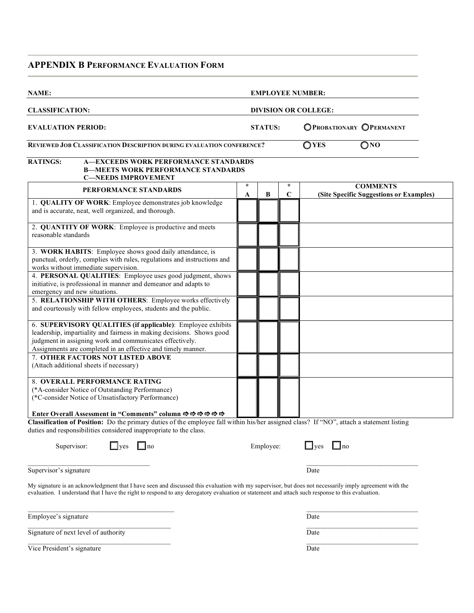# **APPENDIX B PERFORMANCE EVALUATION FORM**

| NAME:                                                                                                                                                                                                                                                                                                                          |                |              |                        | <b>EMPLOYEE NUMBER:</b>                                     |  |
|--------------------------------------------------------------------------------------------------------------------------------------------------------------------------------------------------------------------------------------------------------------------------------------------------------------------------------|----------------|--------------|------------------------|-------------------------------------------------------------|--|
| <b>CLASSIFICATION:</b><br><b>DIVISION OR COLLEGE:</b>                                                                                                                                                                                                                                                                          |                |              |                        |                                                             |  |
| <b>EVALUATION PERIOD:</b>                                                                                                                                                                                                                                                                                                      | <b>STATUS:</b> |              |                        | OPROBATIONARY OPERMANENT<br>$\bigcirc$ YES<br>$\bigcirc$ NO |  |
| REVIEWED JOB CLASSIFICATION DESCRIPTION DURING EVALUATION CONFERENCE?                                                                                                                                                                                                                                                          |                |              |                        |                                                             |  |
| <b>RATINGS:</b><br><b>A-EXCEEDS WORK PERFORMANCE STANDARDS</b><br><b>B-MEETS WORK PERFORMANCE STANDARDS</b><br><b>C-NEEDS IMPROVEMENT</b>                                                                                                                                                                                      |                |              |                        |                                                             |  |
| PERFORMANCE STANDARDS                                                                                                                                                                                                                                                                                                          | $\star$<br>A   | $\, {\bf B}$ | $\star$<br>$\mathbf C$ | <b>COMMENTS</b><br>(Site Specific Suggestions or Examples)  |  |
| 1. QUALITY OF WORK: Employee demonstrates job knowledge<br>and is accurate, neat, well organized, and thorough.                                                                                                                                                                                                                |                |              |                        |                                                             |  |
| 2. QUANTITY OF WORK: Employee is productive and meets<br>reasonable standards                                                                                                                                                                                                                                                  |                |              |                        |                                                             |  |
| 3. WORK HABITS: Employee shows good daily attendance, is<br>punctual, orderly, complies with rules, regulations and instructions and<br>works without immediate supervision.                                                                                                                                                   |                |              |                        |                                                             |  |
| 4. PERSONAL QUALITIES: Employee uses good judgment, shows<br>initiative, is professional in manner and demeanor and adapts to<br>emergency and new situations.                                                                                                                                                                 |                |              |                        |                                                             |  |
| 5. RELATIONSHIP WITH OTHERS: Employee works effectively<br>and courteously with fellow employees, students and the public.                                                                                                                                                                                                     |                |              |                        |                                                             |  |
| 6. SUPERVISORY QUALITIES (if applicable): Employee exhibits<br>leadership, impartiality and fairness in making decisions. Shows good<br>judgment in assigning work and communicates effectively.<br>Assignments are completed in an effective and timely manner.                                                               |                |              |                        |                                                             |  |
| 7. OTHER FACTORS NOT LISTED ABOVE<br>(Attach additional sheets if necessary)                                                                                                                                                                                                                                                   |                |              |                        |                                                             |  |
| <b>8. OVERALL PERFORMANCE RATING</b><br>(*A-consider Notice of Outstanding Performance)<br>(*C-consider Notice of Unsatisfactory Performance)                                                                                                                                                                                  |                |              |                        |                                                             |  |
| Enter Overall Assessment in "Comments" column $\Rightarrow \Rightarrow \Rightarrow \Rightarrow \Rightarrow$<br>Classification of Position: Do the primary duties of the employee fall within his/her assigned class? If "NO", attach a statement listing<br>duties and responsibilities considered inappropriate to the class. |                |              |                        |                                                             |  |
| Supervisor:<br>$\Box$ yes<br>$\Box$ no                                                                                                                                                                                                                                                                                         |                | Employee:    |                        | $\Box$ yes<br>$\Box$ no                                     |  |
| Supervisor's signature                                                                                                                                                                                                                                                                                                         |                |              |                        | Date                                                        |  |
| My signature is an acknowledgment that I have seen and discussed this evaluation with my supervisor, but does not necessarily imply agreement with the<br>evaluation. I understand that I have the right to respond to any derogatory evaluation or statement and attach such response to this evaluation.                     |                |              |                        |                                                             |  |
| Employee's signature                                                                                                                                                                                                                                                                                                           |                |              |                        | Date                                                        |  |
| Signature of next level of authority                                                                                                                                                                                                                                                                                           |                |              |                        | Date                                                        |  |

Vice President's signature Date